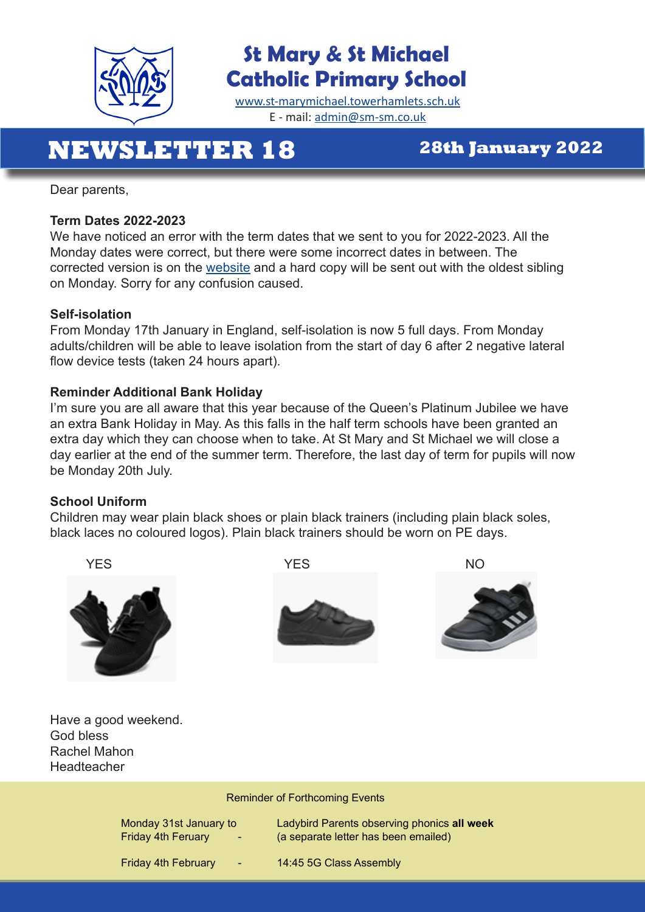

# **St Mary & St Michael Catholic Primary School**

[www.st-marymichael.towerhamlets.sch.uk](http://www.st-marymichael.towerhamlets.sch.uk)  E - mail: [admin@sm-sm.co.uk](http://admin@sm-sm.co.uk)

# **NEWSLETTER 18 28th January 2022**

Dear parents,

#### **Term Dates 2022-2023**

We have noticed an error with the term dates that we sent to you for 2022-2023. All the Monday dates were correct, but there were some incorrect dates in between. The corrected version is on the [website](https://st-marymichael.towerhamlets.sch.uk/wp-content/uploads/2022/01/Term-Dates-for-the-School-Year-2022-2023-2.pdf) and a hard copy will be sent out with the oldest sibling on Monday. Sorry for any confusion caused.

#### **Self-isolation**

From Monday 17th January in England, self-isolation is now 5 full days. From Monday adults/children will be able to leave isolation from the start of day 6 after 2 negative lateral flow device tests (taken 24 hours apart).

#### **Reminder Additional Bank Holiday**

I'm sure you are all aware that this year because of the Queen's Platinum Jubilee we have an extra Bank Holiday in May. As this falls in the half term schools have been granted an extra day which they can choose when to take. At St Mary and St Michael we will close a day earlier at the end of the summer term. Therefore, the last day of term for pupils will now be Monday 20th July.

#### **School Uniform**

Children may wear plain black shoes or plain black trainers (including plain black soles, black laces no coloured logos). Plain black trainers should be worn on PE days.



Reminder of Forthcoming Events

| Monday 31st January to<br><b>Friday 4th Feruary</b><br>$\sim$ | Ladybird Parents observing phonics all week<br>(a separate letter has been emailed) |
|---------------------------------------------------------------|-------------------------------------------------------------------------------------|
| <b>Friday 4th February</b><br>$\sim$ 7                        | 14:45 5G Class Assembly                                                             |